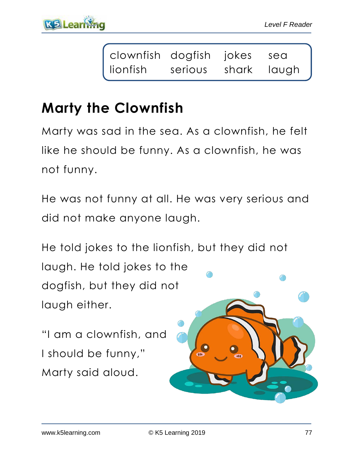| clownfish dogfish jokes sea |                     |  |
|-----------------------------|---------------------|--|
| lionfish                    | serious shark laugh |  |

# **Marty the Clownfish**

Marty was sad in the sea. As a clownfish, he felt like he should be funny. As a clownfish, he was not funny.

He was not funny at all. He was very serious and did not make anyone laugh.

He told jokes to the lionfish, but they did not laugh. He told jokes to the dogfish, but they did not laugh either.

"I am a clownfish, and I should be funny," Marty said aloud.

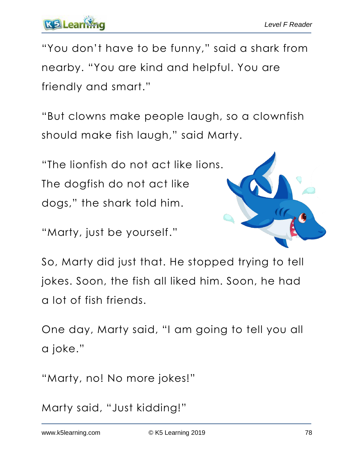"You don't have to be funny," said a shark from nearby. "You are kind and helpful. You are friendly and smart."

"But clowns make people laugh, so a clownfish should make fish laugh," said Marty.

"The lionfish do not act like lions. The dogfish do not act like dogs," the shark told him.

"Marty, just be yourself."



So, Marty did just that. He stopped trying to tell jokes. Soon, the fish all liked him. Soon, he had a lot of fish friends.

One day, Marty said, "I am going to tell you all a joke."

"Marty, no! No more jokes!"

Marty said, "Just kidding!"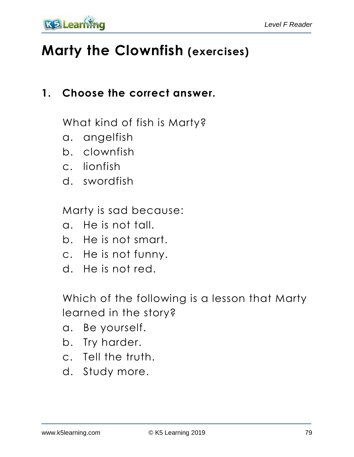

## **Marty the Clownfish (exercises)**

### **1. Choose the correct answer.**

What kind of fish is Marty?

- a. angelfish
- b. clownfish
- c. lionfish
- d. swordfish

Marty is sad because:

- a. He is not tall.
- b. He is not smart.
- c. He is not funny.
- d. He is not red.

Which of the following is a lesson that Marty learned in the story?

- a. Be yourself.
- b. Try harder.
- c. Tell the truth.
- d. Study more.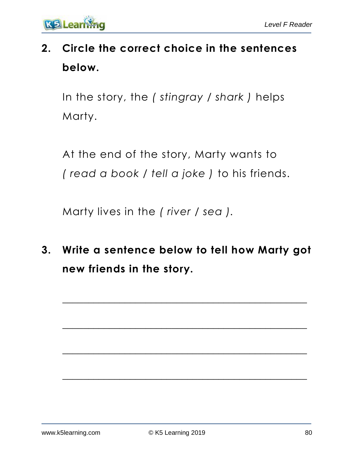

## **2. Circle the correct choice in the sentences below.**

In the story, the *( stingray / shark )* helps Marty.

At the end of the story, Marty wants to *( read a book / tell a joke )* to his friends.

Marty lives in the *( river / sea ).*

**3. Write a sentence below to tell how Marty got new friends in the story.**

 $\overline{\phantom{a}}$  , and the contract of the contract of the contract of the contract of the contract of the contract of the contract of the contract of the contract of the contract of the contract of the contract of the contrac

 $\overline{\phantom{a}}$  , and the contract of the contract of the contract of the contract of the contract of the contract of the contract of the contract of the contract of the contract of the contract of the contract of the contrac

 $\mathcal{L}_\text{max}$  , and the contract of the contract of the contract of the contract of the contract of the contract of the contract of the contract of the contract of the contract of the contract of the contract of the contr

 $\overline{\phantom{a}}$  , and the contract of the contract of the contract of the contract of the contract of the contract of the contract of the contract of the contract of the contract of the contract of the contract of the contrac